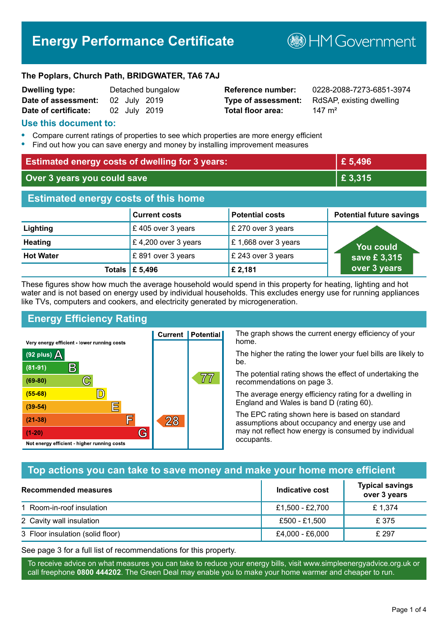# **Energy Performance Certificate**

**B**HM Government

#### **The Poplars, Church Path, BRIDGWATER, TA6 7AJ**

| <b>Dwelling type:</b> |              | Detached bungalow |
|-----------------------|--------------|-------------------|
| Date of assessment:   | 02 July 2019 |                   |
| Date of certificate:  | 02 July 2019 |                   |

# **Total floor area:** 147 m<sup>2</sup>

**Reference number:** 0228-2088-7273-6851-3974 **Type of assessment:** RdSAP, existing dwelling

#### **Use this document to:**

- **•** Compare current ratings of properties to see which properties are more energy efficient
- **•** Find out how you can save energy and money by installing improvement measures

| <b>Estimated energy costs of dwelling for 3 years:</b> |                           | £ 5,496                |                                 |
|--------------------------------------------------------|---------------------------|------------------------|---------------------------------|
| Over 3 years you could save                            |                           | £ 3,315                |                                 |
| <b>Estimated energy costs of this home</b>             |                           |                        |                                 |
|                                                        | <b>Current costs</b>      | <b>Potential costs</b> | <b>Potential future savings</b> |
| Lighting                                               | £405 over 3 years         | £ 270 over 3 years     |                                 |
| <b>Heating</b>                                         | £4,200 over 3 years       | £1,668 over 3 years    | <b>You could</b>                |
| <b>Hot Water</b>                                       | £891 over 3 years         | £ 243 over 3 years     | save £3,315                     |
|                                                        | Totals $\mathsf{E}$ 5,496 | £ 2,181                | over 3 years                    |

These figures show how much the average household would spend in this property for heating, lighting and hot water and is not based on energy used by individual households. This excludes energy use for running appliances like TVs, computers and cookers, and electricity generated by microgeneration.

**Current | Potential** 

 $28$ 

# **Energy Efficiency Rating**

 $\mathbb{C}$ 

 $\mathbb{D}$ 

E

眉

G

Very energy efficient - lower running costs

 $\mathsf{R}% _{T}$ 

Not energy efficient - higher running costs

(92 plus)  $\Delta$ 

 $(81 - 91)$ 

 $(69 - 80)$ 

 $(55-68)$  $(39-54)$ 

 $(21-38)$ 

 $(1-20)$ 

The graph shows the current energy efficiency of your home.

The higher the rating the lower your fuel bills are likely to be.

The potential rating shows the effect of undertaking the recommendations on page 3.

The average energy efficiency rating for a dwelling in England and Wales is band D (rating 60).

The EPC rating shown here is based on standard assumptions about occupancy and energy use and may not reflect how energy is consumed by individual occupants.

# **Top actions you can take to save money and make your home more efficient**

77

| Recommended measures             | Indicative cost | <b>Typical savings</b><br>over 3 years |
|----------------------------------|-----------------|----------------------------------------|
| 1 Room-in-roof insulation        | £1,500 - £2,700 | £1,374                                 |
| 2 Cavity wall insulation         | £500 - £1,500   | £375                                   |
| 3 Floor insulation (solid floor) | £4,000 - £6,000 | £ 297                                  |

See page 3 for a full list of recommendations for this property.

To receive advice on what measures you can take to reduce your energy bills, visit www.simpleenergyadvice.org.uk or call freephone **0800 444202**. The Green Deal may enable you to make your home warmer and cheaper to run.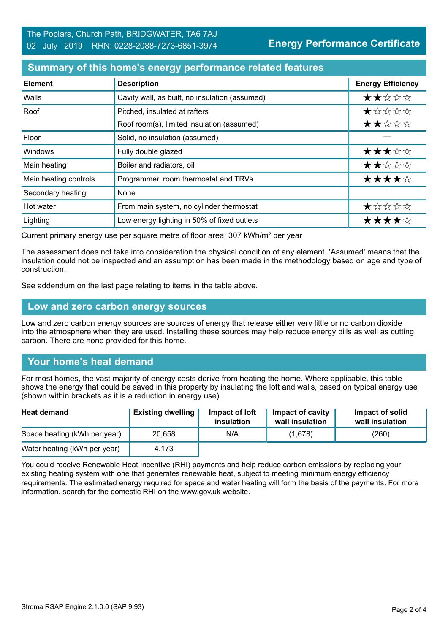#### **Summary of this home's energy performance related features**

| <b>Element</b>        | <b>Description</b>                             | <b>Energy Efficiency</b> |
|-----------------------|------------------------------------------------|--------------------------|
| Walls                 | Cavity wall, as built, no insulation (assumed) | ★★☆☆☆                    |
| Roof                  | Pitched, insulated at rafters                  | *****                    |
|                       | Roof room(s), limited insulation (assumed)     | ★★☆☆☆                    |
| Floor                 | Solid, no insulation (assumed)                 |                          |
| <b>Windows</b>        | Fully double glazed                            | ★★★☆☆                    |
| Main heating          | Boiler and radiators, oil                      | ★★☆☆☆                    |
| Main heating controls | Programmer, room thermostat and TRVs           | ★★★★☆                    |
| Secondary heating     | None                                           |                          |
| Hot water             | From main system, no cylinder thermostat       | ★☆☆☆☆                    |
| Lighting              | Low energy lighting in 50% of fixed outlets    | ★★★★☆                    |

Current primary energy use per square metre of floor area: 307 kWh/m² per year

The assessment does not take into consideration the physical condition of any element. 'Assumed' means that the insulation could not be inspected and an assumption has been made in the methodology based on age and type of construction.

See addendum on the last page relating to items in the table above.

#### **Low and zero carbon energy sources**

Low and zero carbon energy sources are sources of energy that release either very little or no carbon dioxide into the atmosphere when they are used. Installing these sources may help reduce energy bills as well as cutting carbon. There are none provided for this home.

#### **Your home's heat demand**

For most homes, the vast majority of energy costs derive from heating the home. Where applicable, this table shows the energy that could be saved in this property by insulating the loft and walls, based on typical energy use (shown within brackets as it is a reduction in energy use).

| <b>Heat demand</b>           | <b>Existing dwelling</b> | Impact of loft<br>insulation | Impact of cavity<br>wall insulation | Impact of solid<br>wall insulation |
|------------------------------|--------------------------|------------------------------|-------------------------------------|------------------------------------|
| Space heating (kWh per year) | 20.658                   | N/A                          | (1,678)                             | (260)                              |
| Water heating (kWh per year) | 4.173                    |                              |                                     |                                    |

You could receive Renewable Heat Incentive (RHI) payments and help reduce carbon emissions by replacing your existing heating system with one that generates renewable heat, subject to meeting minimum energy efficiency requirements. The estimated energy required for space and water heating will form the basis of the payments. For more information, search for the domestic RHI on the www.gov.uk website.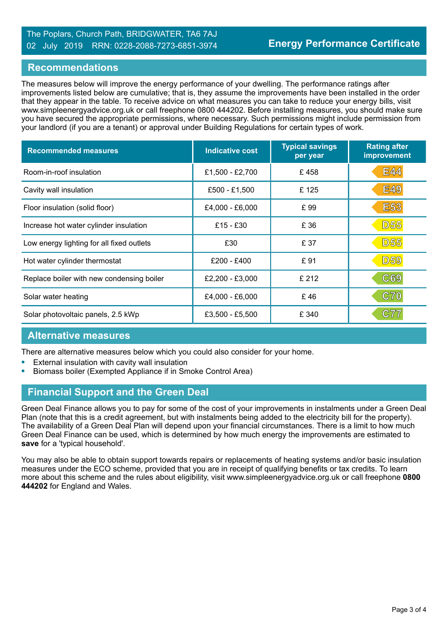# The Poplars, Church Path, BRIDGWATER, TA6 7AJ 02 July 2019 RRN: 0228-2088-7273-6851-3974

#### **Recommendations**

The measures below will improve the energy performance of your dwelling. The performance ratings after improvements listed below are cumulative; that is, they assume the improvements have been installed in the order that they appear in the table. To receive advice on what measures you can take to reduce your energy bills, visit www.simpleenergyadvice.org.uk or call freephone 0800 444202. Before installing measures, you should make sure you have secured the appropriate permissions, where necessary. Such permissions might include permission from your landlord (if you are a tenant) or approval under Building Regulations for certain types of work.

| <b>Recommended measures</b>               | <b>Indicative cost</b> | <b>Typical savings</b><br>per year | <b>Rating after</b><br>improvement |
|-------------------------------------------|------------------------|------------------------------------|------------------------------------|
| Room-in-roof insulation                   | £1,500 - £2,700        | £458                               | <b>E44</b>                         |
| Cavity wall insulation                    | £500 - £1,500          | £125                               | <b>E49</b>                         |
| Floor insulation (solid floor)            | £4,000 - £6,000        | £99                                | <b>E53</b>                         |
| Increase hot water cylinder insulation    | $£15 - £30$            | £ 36                               | <b>D55</b>                         |
| Low energy lighting for all fixed outlets | £30                    | £ 37                               | <b>D55</b>                         |
| Hot water cylinder thermostat             | $£200 - £400$          | £91                                | <b>D59</b>                         |
| Replace boiler with new condensing boiler | £2,200 - £3,000        | £ 212                              | C69                                |
| Solar water heating                       | £4,000 - £6,000        | £46                                | C70                                |
| Solar photovoltaic panels, 2.5 kWp        | £3,500 - £5,500        | £ 340                              | C77                                |

# **Alternative measures**

There are alternative measures below which you could also consider for your home.

- **•** External insulation with cavity wall insulation
- **•** Biomass boiler (Exempted Appliance if in Smoke Control Area)

# **Financial Support and the Green Deal**

Green Deal Finance allows you to pay for some of the cost of your improvements in instalments under a Green Deal Plan (note that this is a credit agreement, but with instalments being added to the electricity bill for the property). The availability of a Green Deal Plan will depend upon your financial circumstances. There is a limit to how much Green Deal Finance can be used, which is determined by how much energy the improvements are estimated to **save** for a 'typical household'.

You may also be able to obtain support towards repairs or replacements of heating systems and/or basic insulation measures under the ECO scheme, provided that you are in receipt of qualifying benefits or tax credits. To learn more about this scheme and the rules about eligibility, visit www.simpleenergyadvice.org.uk or call freephone **0800 444202** for England and Wales.